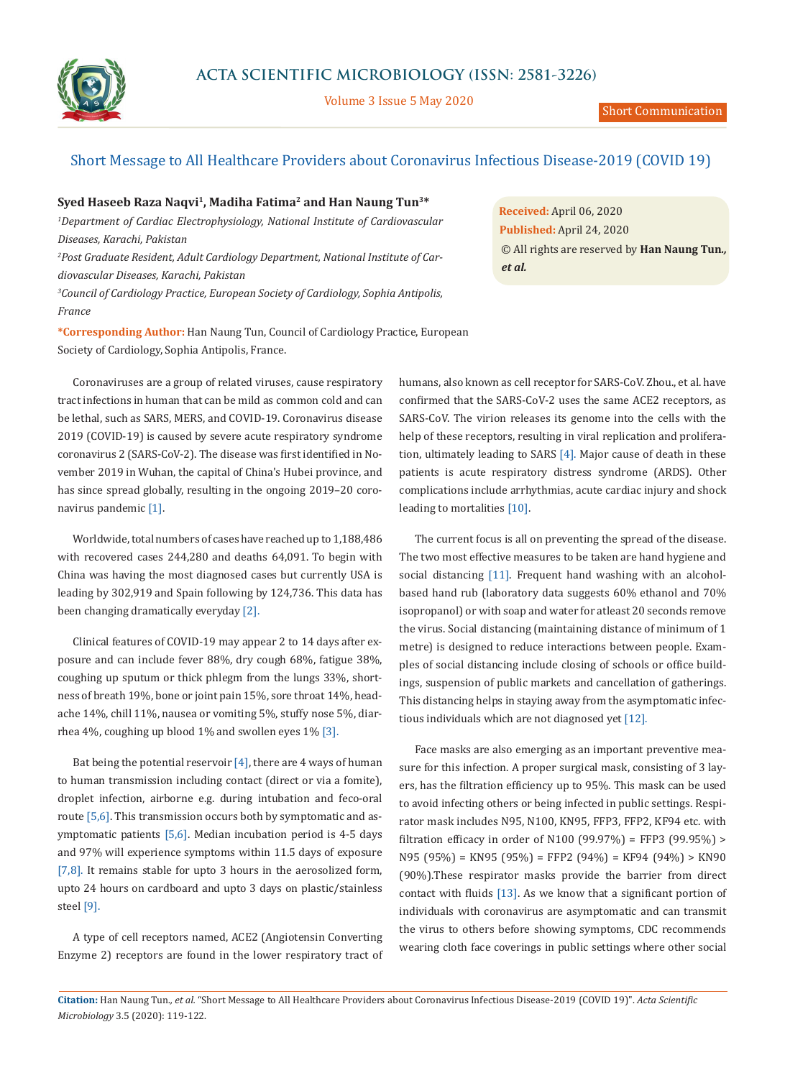

Volume 3 Issue 5 May 2020

# Short Message to All Healthcare Providers about Coronavirus Infectious Disease-2019 (COVID 19)

## **Syed Haseeb Raza Naqvi1, Madiha Fatima2 and Han Naung Tun3\***

<sup>1</sup>Department of Cardiac Electrophysiology, National Institute of Cardiovascular *Diseases, Karachi, Pakistan 2 Post Graduate Resident, Adult Cardiology Department, National Institute of Cardiovascular Diseases, Karachi, Pakistan 3 Council of Cardiology Practice, European Society of Cardiology, Sophia Antipolis, France* 

**\*Corresponding Author:** Han Naung Tun, Council of Cardiology Practice, European Society of Cardiology, Sophia Antipolis, France.

Coronaviruses are a group of related viruses, cause respiratory tract infections in human that can be mild as common cold and can be lethal, such as SARS, MERS, and COVID-19. Coronavirus disease 2019 (COVID-19) is caused by severe acute respiratory syndrome coronavirus 2 (SARS-CoV-2). The disease was first identified in November 2019 in Wuhan, the capital of China's Hubei province, and has since spread globally, resulting in the ongoing 2019–20 coronavirus pandemic [1].

Worldwide, total numbers of cases have reached up to 1,188,486 with recovered cases 244,280 and deaths 64,091. To begin with China was having the most diagnosed cases but currently USA is leading by 302,919 and Spain following by 124,736. This data has been changing dramatically everyday [2].

Clinical features of COVID-19 may appear 2 to 14 days after exposure and can include fever 88%, dry cough 68%, fatigue 38%, coughing up sputum or thick phlegm from the lungs 33%, shortness of breath 19%, bone or joint pain 15%, sore throat 14%, headache 14%, chill 11%, nausea or vomiting 5%, stuffy nose 5%, diarrhea 4%, coughing up blood 1% and swollen eyes 1% [3].

Bat being the potential reservoir  $[4]$ , there are 4 ways of human to human transmission including contact (direct or via a fomite), droplet infection, airborne e.g. during intubation and feco-oral route [5,6]. This transmission occurs both by symptomatic and asymptomatic patients [5,6]. Median incubation period is 4-5 days and 97% will experience symptoms within 11.5 days of exposure [7,8]. It remains stable for upto 3 hours in the aerosolized form, upto 24 hours on cardboard and upto 3 days on plastic/stainless steel [9].

A type of cell receptors named, ACE2 (Angiotensin Converting Enzyme 2) receptors are found in the lower respiratory tract of **Received:** April 06, 2020 **Published:** April 24, 2020 © All rights are reserved by **Han Naung Tun***., et al.*

humans, also known as cell receptor for SARS-CoV. Zhou., et al. have confirmed that the SARS-CoV-2 uses the same ACE2 receptors, as SARS-CoV. The virion releases its genome into the cells with the help of these receptors, resulting in viral replication and proliferation, ultimately leading to SARS [4]. Major cause of death in these patients is acute respiratory distress syndrome (ARDS). Other complications include arrhythmias, acute cardiac injury and shock leading to mortalities [10].

The current focus is all on preventing the spread of the disease. The two most effective measures to be taken are hand hygiene and social distancing [11]. Frequent hand washing with an alcoholbased hand rub (laboratory data suggests 60% ethanol and 70% isopropanol) or with soap and water for atleast 20 seconds remove the virus. Social distancing (maintaining distance of minimum of 1 metre) is designed to reduce interactions between people. Examples of social distancing include closing of schools or office buildings, suspension of public markets and cancellation of gatherings. This distancing helps in staying away from the asymptomatic infectious individuals which are not diagnosed yet [12].

Face masks are also emerging as an important preventive measure for this infection. A proper surgical mask, consisting of 3 layers, has the filtration efficiency up to 95%. This mask can be used to avoid infecting others or being infected in public settings. Respirator mask includes N95, N100, KN95, FFP3, FFP2, KF94 etc. with filtration efficacy in order of N100 (99.97%) = FFP3 (99.95%) > N95 (95%) = KN95 (95%) = FFP2 (94%) = KF94 (94%) > KN90 (90%).These respirator masks provide the barrier from direct contact with fluids [13]. As we know that a significant portion of individuals with coronavirus are asymptomatic and can transmit the virus to others before showing symptoms, CDC recommends wearing cloth face coverings in public settings where other social

**Citation:** Han Naung Tun*., et al.* "Short Message to All Healthcare Providers about Coronavirus Infectious Disease-2019 (COVID 19)". *Acta Scientific Microbiology* 3.5 (2020): 119-122.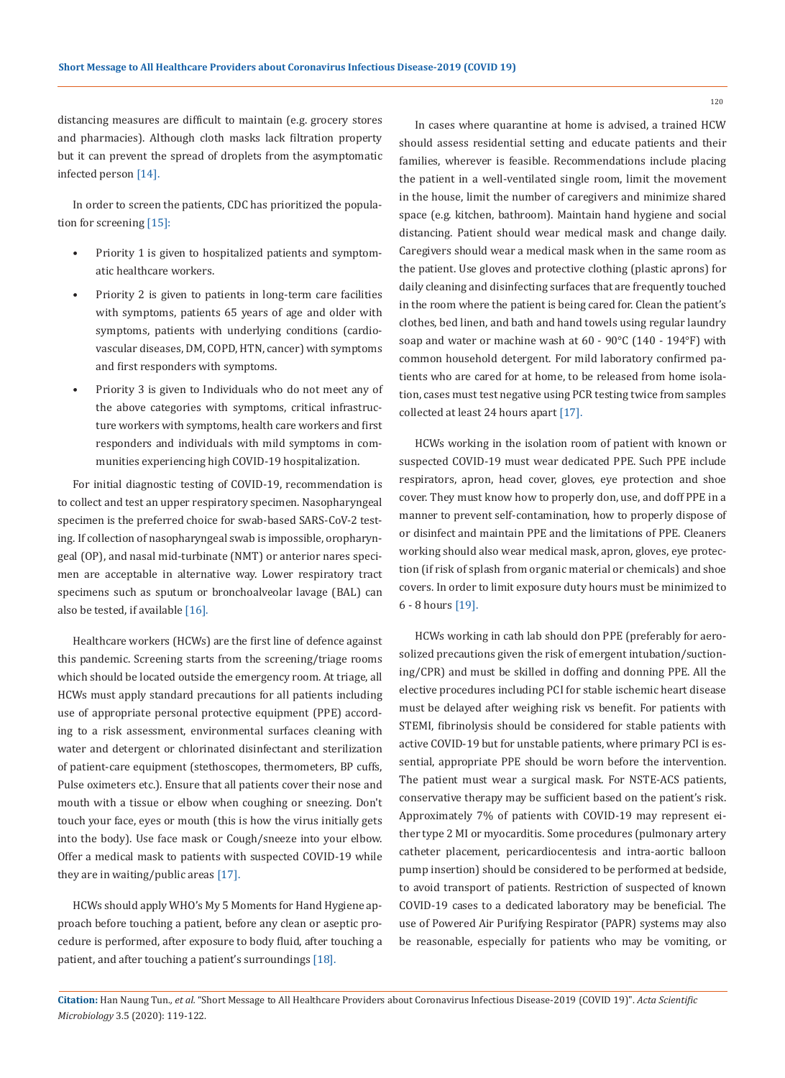distancing measures are difficult to maintain (e.g. grocery stores and pharmacies). Although cloth masks lack filtration property but it can prevent the spread of droplets from the asymptomatic infected person [14].

In order to screen the patients, CDC has prioritized the population for screening [15]:

- Priority 1 is given to hospitalized patients and symptomatic healthcare workers.
- Priority 2 is given to patients in long-term care facilities with symptoms, patients 65 years of age and older with symptoms, patients with underlying conditions (cardiovascular diseases, DM, COPD, HTN, cancer) with symptoms and first responders with symptoms.
- Priority 3 is given to Individuals who do not meet any of the above categories with symptoms, critical infrastructure workers with symptoms, health care workers and first responders and individuals with mild symptoms in communities experiencing high COVID-19 hospitalization.

For initial diagnostic testing of COVID-19, recommendation is to collect and test an upper respiratory specimen. Nasopharyngeal specimen is the preferred choice for swab-based SARS-CoV-2 testing. If collection of nasopharyngeal swab is impossible, oropharyngeal (OP), and nasal mid-turbinate (NMT) or anterior nares specimen are acceptable in alternative way. Lower respiratory tract specimens such as sputum or bronchoalveolar lavage (BAL) can also be tested, if available [16].

Healthcare workers (HCWs) are the first line of defence against this pandemic. Screening starts from the screening/triage rooms which should be located outside the emergency room. At triage, all HCWs must apply standard precautions for all patients including use of appropriate personal protective equipment (PPE) according to a risk assessment, environmental surfaces cleaning with water and detergent or chlorinated disinfectant and sterilization of patient-care equipment (stethoscopes, thermometers, BP cuffs, Pulse oximeters etc.). Ensure that all patients cover their nose and mouth with a tissue or elbow when coughing or sneezing. Don't touch your face, eyes or mouth (this is how the virus initially gets into the body). Use face mask or Cough/sneeze into your elbow. Offer a medical mask to patients with suspected COVID-19 while they are in waiting/public areas [17].

HCWs should apply WHO's My 5 Moments for Hand Hygiene approach before touching a patient, before any clean or aseptic procedure is performed, after exposure to body fluid, after touching a patient, and after touching a patient's surroundings [18].

In cases where quarantine at home is advised, a trained HCW should assess residential setting and educate patients and their families, wherever is feasible. Recommendations include placing the patient in a well-ventilated single room, limit the movement in the house, limit the number of caregivers and minimize shared space (e.g. kitchen, bathroom). Maintain hand hygiene and social distancing. Patient should wear medical mask and change daily. Caregivers should wear a medical mask when in the same room as the patient. Use gloves and protective clothing (plastic aprons) for daily cleaning and disinfecting surfaces that are frequently touched in the room where the patient is being cared for. Clean the patient's clothes, bed linen, and bath and hand towels using regular laundry soap and water or machine wash at 60 - 90°C (140 - 194°F) with common household detergent. For mild laboratory confirmed patients who are cared for at home, to be released from home isolation, cases must test negative using PCR testing twice from samples collected at least 24 hours apart [17].

HCWs working in the isolation room of patient with known or suspected COVID-19 must wear dedicated PPE. Such PPE include respirators, apron, head cover, gloves, eye protection and shoe cover. They must know how to properly don, use, and doff PPE in a manner to prevent self-contamination, how to properly dispose of or disinfect and maintain PPE and the limitations of PPE. Cleaners working should also wear medical mask, apron, gloves, eye protection (if risk of splash from organic material or chemicals) and shoe covers. In order to limit exposure duty hours must be minimized to 6 - 8 hours [19].

HCWs working in cath lab should don PPE (preferably for aerosolized precautions given the risk of emergent intubation/suctioning/CPR) and must be skilled in doffing and donning PPE. All the elective procedures including PCI for stable ischemic heart disease must be delayed after weighing risk vs benefit. For patients with STEMI, fibrinolysis should be considered for stable patients with active COVID-19 but for unstable patients, where primary PCI is essential, appropriate PPE should be worn before the intervention. The patient must wear a surgical mask. For NSTE-ACS patients, conservative therapy may be sufficient based on the patient's risk. Approximately 7% of patients with COVID-19 may represent either type 2 MI or myocarditis. Some procedures (pulmonary artery catheter placement, pericardiocentesis and intra-aortic balloon pump insertion) should be considered to be performed at bedside, to avoid transport of patients. Restriction of suspected of known COVID-19 cases to a dedicated laboratory may be beneficial. The use of Powered Air Purifying Respirator (PAPR) systems may also be reasonable, especially for patients who may be vomiting, or

**Citation:** Han Naung Tun*., et al.* "Short Message to All Healthcare Providers about Coronavirus Infectious Disease-2019 (COVID 19)". *Acta Scientific Microbiology* 3.5 (2020): 119-122.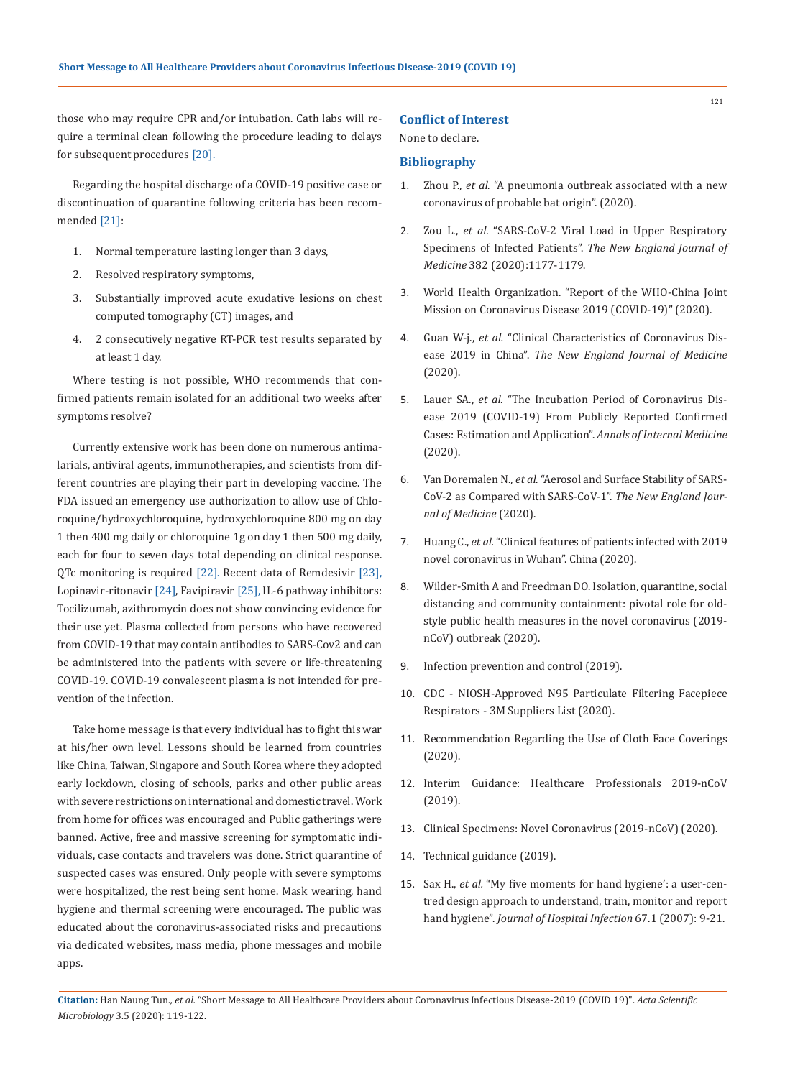those who may require CPR and/or intubation. Cath labs will require a terminal clean following the procedure leading to delays for subsequent procedures [20].

Regarding the hospital discharge of a COVID-19 positive case or discontinuation of quarantine following criteria has been recommended [21]:

- 1. Normal temperature lasting longer than 3 days,
- 2. Resolved respiratory symptoms,
- 3. Substantially improved acute exudative lesions on chest computed tomography (CT) images, and
- 4. 2 consecutively negative RT-PCR test results separated by at least 1 day.

Where testing is not possible, WHO recommends that confirmed patients remain isolated for an additional two weeks after symptoms resolve?

Currently extensive work has been done on numerous antimalarials, antiviral agents, immunotherapies, and scientists from different countries are playing their part in developing vaccine. The FDA issued an emergency use authorization to allow use of Chloroquine/hydroxychloroquine, hydroxychloroquine 800 mg on day 1 then 400 mg daily or chloroquine 1g on day 1 then 500 mg daily, each for four to seven days total depending on clinical response. QTc monitoring is required [22]. Recent data of Remdesivir [23], Lopinavir-ritonavir [24], Favipiravir [25], IL-6 pathway inhibitors: Tocilizumab, azithromycin does not show convincing evidence for their use yet. Plasma collected from persons who have recovered from COVID-19 that may contain antibodies to SARS-Cov2 and can be administered into the patients with severe or life-threatening COVID-19. COVID-19 convalescent plasma is not intended for prevention of the infection.

Take home message is that every individual has to fight this war at his/her own level. Lessons should be learned from countries like China, Taiwan, Singapore and South Korea where they adopted early lockdown, closing of schools, parks and other public areas with severe restrictions on international and domestic travel. Work from home for offices was encouraged and Public gatherings were banned. Active, free and massive screening for symptomatic individuals, case contacts and travelers was done. Strict quarantine of suspected cases was ensured. Only people with severe symptoms were hospitalized, the rest being sent home. Mask wearing, hand hygiene and thermal screening were encouraged. The public was educated about the coronavirus-associated risks and precautions via dedicated websites, mass media, phone messages and mobile apps.

#### **Conflict of Interest**

None to declare.

### **Bibliography**

- 1. Zhou P., *et al.* ["A pneumonia outbreak associated with a new](https://www.nature.com/articles/s41586-020-2012-7)  [coronavirus of probable bat origin". \(2020\).](https://www.nature.com/articles/s41586-020-2012-7)
- 2. Zou L., *et al.* ["SARS-CoV-2 Viral Load in Upper Respiratory](https://www.nejm.org/doi/full/10.1056/NEJMc2001737)  [Specimens of Infected Patients".](https://www.nejm.org/doi/full/10.1056/NEJMc2001737) *The New England Journal of Medicine* [382 \(2020\):1177-1179.](https://www.nejm.org/doi/full/10.1056/NEJMc2001737)
- 3. [World Health Organization. "Report of the WHO-China Joint](https://www.who.int/docs/default-source/coronaviruse/who-china-joint-mission-on-covid-19-final-report.pdf)  [Mission on Coronavirus Disease 2019 \(COVID-19\)" \(2020\).](https://www.who.int/docs/default-source/coronaviruse/who-china-joint-mission-on-covid-19-final-report.pdf)
- 4. Guan W-j., *et al.* ["Clinical Characteristics of Coronavirus Dis](https://www.nejm.org/doi/full/10.1056/NEJMoa2002032)ease 2019 in China". *[The New England Journal of Medicine](https://www.nejm.org/doi/full/10.1056/NEJMoa2002032)*  [\(2020\).](https://www.nejm.org/doi/full/10.1056/NEJMoa2002032)
- 5. Lauer SA., *et al.* ["The Incubation Period of Coronavirus Dis](https://annals.org/aim/fullarticle/2762808/incubation-period-coronavirus-disease-2019-covid-19-from-publicly-reported)[ease 2019 \(COVID-19\) From Publicly Reported Confirmed](https://annals.org/aim/fullarticle/2762808/incubation-period-coronavirus-disease-2019-covid-19-from-publicly-reported)  [Cases: Estimation and Application".](https://annals.org/aim/fullarticle/2762808/incubation-period-coronavirus-disease-2019-covid-19-from-publicly-reported) *Annals of Internal Medicine*  [\(2020\).](https://annals.org/aim/fullarticle/2762808/incubation-period-coronavirus-disease-2019-covid-19-from-publicly-reported)
- 6. Van Doremalen N., *et al.* ["Aerosol and Surface Stability of SARS-](https://www.nejm.org/doi/full/10.1056/NEJMc2004973)[CoV-2 as Compared with SARS-CoV-1".](https://www.nejm.org/doi/full/10.1056/NEJMc2004973) *The New England Jour[nal of Medicine](https://www.nejm.org/doi/full/10.1056/NEJMc2004973)* (2020).
- 7. Huang C., *et al.* ["Clinical features of patients infected with 2019](https://www.thelancet.com/journals/lancet/article/PIIS0140-6736(20)30183-5/fulltext)  [novel coronavirus in Wuhan". China \(2020\).](https://www.thelancet.com/journals/lancet/article/PIIS0140-6736(20)30183-5/fulltext)
- 8. [Wilder-Smith A and Freedman DO. Isolation, quarantine, social](https://www.ncbi.nlm.nih.gov/pubmed/32052841)  [distancing and community containment: pivotal role for old](https://www.ncbi.nlm.nih.gov/pubmed/32052841)[style public health measures in the novel coronavirus \(2019](https://www.ncbi.nlm.nih.gov/pubmed/32052841) [nCoV\) outbreak \(2020\).](https://www.ncbi.nlm.nih.gov/pubmed/32052841)
- 9. [Infection prevention and control \(2019\).](https://www.who.int/emergencies/diseases/novel-coronavirus-2019/technical-guidance/infection-prevention-and-control)
- 10. [CDC NIOSH-Approved N95 Particulate Filtering Facepiece](https://www.cdc.gov/niosh/npptl/topics/respirators/disp_part/n95list1.html)  [Respirators - 3M Suppliers List \(2020\).](https://www.cdc.gov/niosh/npptl/topics/respirators/disp_part/n95list1.html)
- 11. [Recommendation Regarding the Use of Cloth Face Coverings](https://www.cdc.gov/coronavirus/2019-ncov/prevent-getting-sick/cloth-face-cover.html)  [\(2020\).](https://www.cdc.gov/coronavirus/2019-ncov/prevent-getting-sick/cloth-face-cover.html)
- 12. [Interim Guidance: Healthcare Professionals 2019-nCoV](https://www.cdc.gov/coronavirus/2019-nCoV/hcp/clinical-criteria.html)  [\(2019\).](https://www.cdc.gov/coronavirus/2019-nCoV/hcp/clinical-criteria.html)
- 13. [Clinical Specimens: Novel Coronavirus \(2019-nCoV\) \(2020\).](https://www.cdc.gov/coronavirus/2019-nCoV/lab/guidelines-clinical-specimens.html)
- 14. [Technical guidance \(2019\).](https://www.who.int/emergencies/diseases/novel-coronavirus-2019/technical-guidance/infection-prevention-and-control)
- 15. Sax H., *et al.* ["My five moments for hand hygiene': a user-cen](https://www.ncbi.nlm.nih.gov/pubmed/17719685)[tred design approach to understand, train, monitor and report](https://www.ncbi.nlm.nih.gov/pubmed/17719685)  hand hygiene". *[Journal of Hospital Infection](https://www.ncbi.nlm.nih.gov/pubmed/17719685)* 67.1 (2007): 9-21.

**Citation:** Han Naung Tun*., et al.* "Short Message to All Healthcare Providers about Coronavirus Infectious Disease-2019 (COVID 19)". *Acta Scientific Microbiology* 3.5 (2020): 119-122.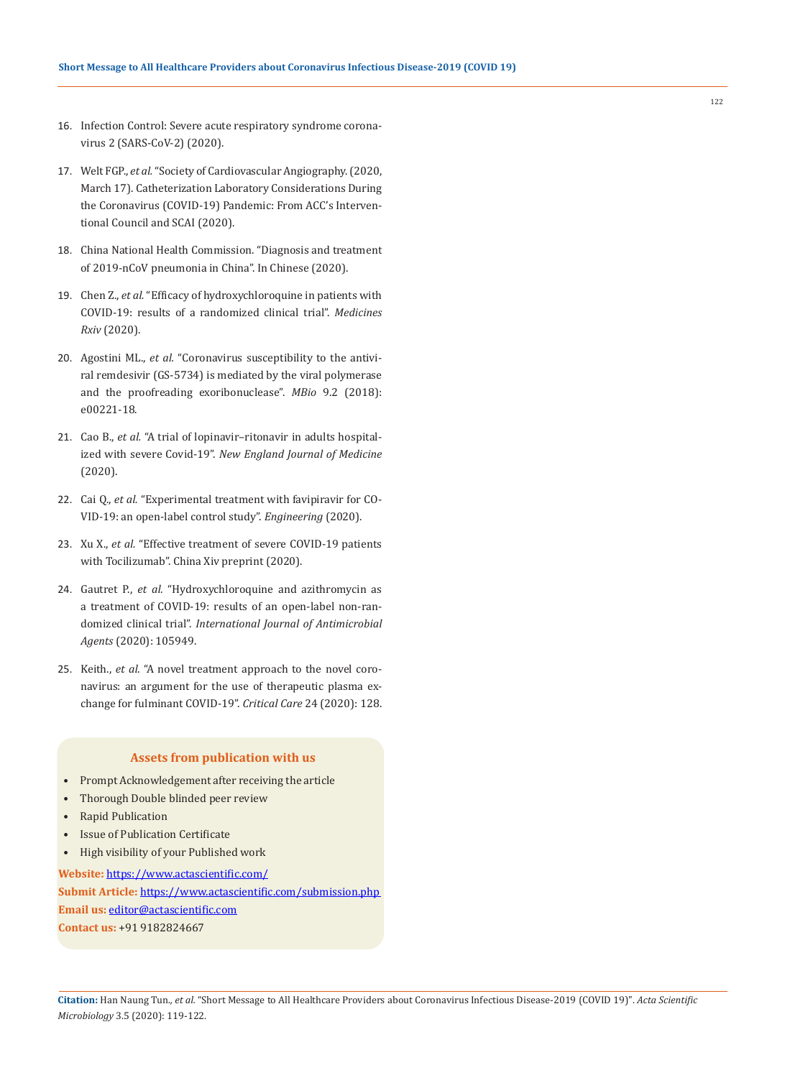- 16. [Infection Control: Severe acute respiratory syndrome corona](https://www.cdc.gov/coronavirus/2019-ncov/infection-control/control-recommendations.html)[virus 2 \(SARS-CoV-2\) \(2020\).](https://www.cdc.gov/coronavirus/2019-ncov/infection-control/control-recommendations.html)
- 17. Welt FGP., *et al.* ["Society of Cardiovascular Angiography. \(2020,](http://www.onlinejacc.org/content/early/2020/03/16/j.jacc.2020.03.021)  [March 17\). Catheterization Laboratory Considerations During](http://www.onlinejacc.org/content/early/2020/03/16/j.jacc.2020.03.021)  [the Coronavirus \(COVID-19\) Pandemic: From ACC's Interven](http://www.onlinejacc.org/content/early/2020/03/16/j.jacc.2020.03.021)[tional Council and SCAI \(2020\).](http://www.onlinejacc.org/content/early/2020/03/16/j.jacc.2020.03.021)
- 18. [China National Health Commission. "Diagnosis and treatment](http://www.nhc.gov.cn/yzygj/s7653p/202002/d4b895337e19445f8d728fcaf1e3e13a.shtml)  [of 2019-nCoV pneumonia in China". In Chinese \(2020\).](http://www.nhc.gov.cn/yzygj/s7653p/202002/d4b895337e19445f8d728fcaf1e3e13a.shtml)
- 19. Chen Z., *et al.* ["Efficacy of hydroxychloroquine in patients with](https://www.medrxiv.org/content/10.1101/2020.03.22.20040758v3)  [COVID-19: results of a randomized clinical trial".](https://www.medrxiv.org/content/10.1101/2020.03.22.20040758v3) *Medicines Rxiv* [\(2020\).](https://www.medrxiv.org/content/10.1101/2020.03.22.20040758v3)
- 20. Agostini ML., *et al.* ["Coronavirus susceptibility to the antivi](https://mbio.asm.org/content/9/2/e00221-18/figures-only)[ral remdesivir \(GS-5734\) is mediated by the viral polymerase](https://mbio.asm.org/content/9/2/e00221-18/figures-only)  [and the proofreading exoribonuclease".](https://mbio.asm.org/content/9/2/e00221-18/figures-only) *MBio* 9.2 (2018): [e00221-18.](https://mbio.asm.org/content/9/2/e00221-18/figures-only)
- 21. Cao B., *et al.* ["A trial of lopinavir–ritonavir in adults hospital](https://www.nejm.org/doi/full/10.1056/NEJMoa2001282)ized with severe Covid-19". *[New England Journal of Medicine](https://www.nejm.org/doi/full/10.1056/NEJMoa2001282)* [\(2020\).](https://www.nejm.org/doi/full/10.1056/NEJMoa2001282)
- 22. Cai Q., *et al.* ["Experimental treatment with favipiravir for CO-](https://www.sciencedirect.com/science/article/pii/S2095809920300631)[VID-19: an open-label control study".](https://www.sciencedirect.com/science/article/pii/S2095809920300631) *Engineering* (2020).
- 23. Xu X., *et al.* ["Effective treatment of severe COVID-19 patients](http://www.chinaxiv.org/user/download.htm?id=30387)  [with Tocilizumab". China Xiv preprint \(2020\).](http://www.chinaxiv.org/user/download.htm?id=30387)
- 24. Gautret P., *et al.* ["Hydroxychloroquine and azithromycin as](https://www.ncbi.nlm.nih.gov/pubmed/32205204)  [a treatment of COVID-19: results of an open-label non-ran](https://www.ncbi.nlm.nih.gov/pubmed/32205204)domized clinical trial". *[International Journal of Antimicrobial](https://www.ncbi.nlm.nih.gov/pubmed/32205204)  Agents* [\(2020\): 105949.](https://www.ncbi.nlm.nih.gov/pubmed/32205204)
- 25. Keith., *et al*[. "A novel treatment approach to the novel coro](https://ccforum.biomedcentral.com/articles/10.1186/s13054-020-2836-4)[navirus: an argument for the use of therapeutic plasma ex](https://ccforum.biomedcentral.com/articles/10.1186/s13054-020-2836-4)[change for fulminant COVID-19".](https://ccforum.biomedcentral.com/articles/10.1186/s13054-020-2836-4) *Critical Care* 24 (2020): 128.

#### **Assets from publication with us**

- Prompt Acknowledgement after receiving the article
- Thorough Double blinded peer review
- Rapid Publication
- Issue of Publication Certificate
- High visibility of your Published work

**Website:** https://www.actascientific.com/ **Submit Article:** https://www.actascientific.com/submission.php **Email us:** editor@actascientific.com **Contact us:** +91 9182824667